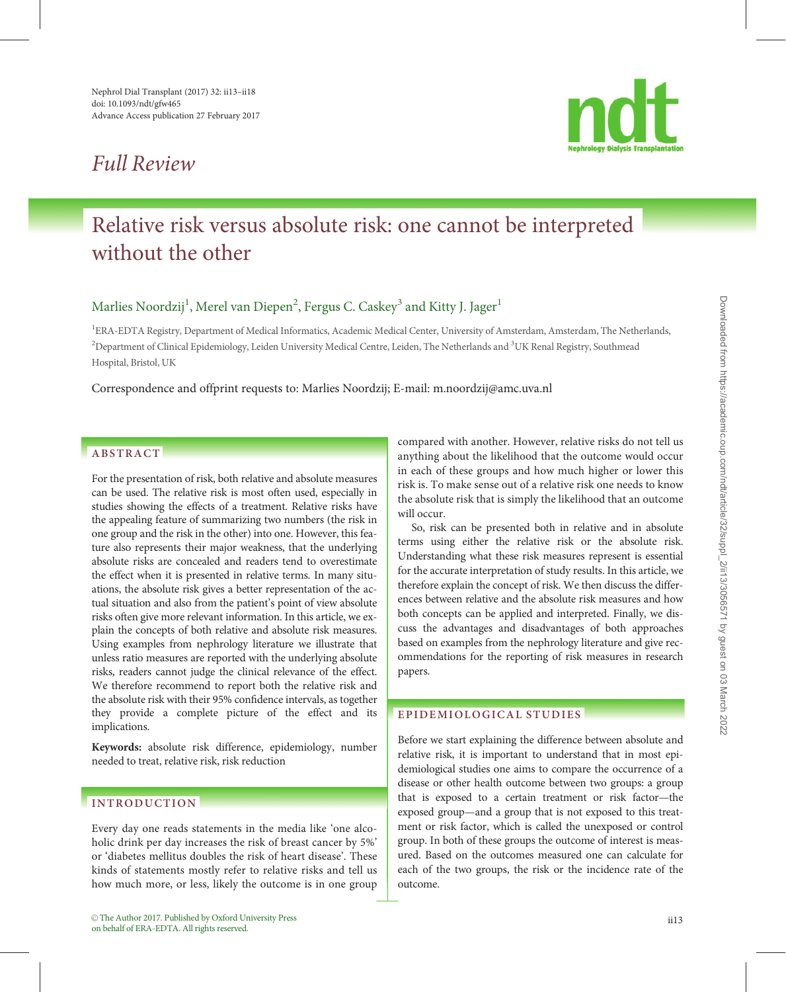## Full Review



# Relative risk versus absolute risk: one cannot be interpreted without the other

### Marlies Noordzij $^1$ , Merel van Diepen $^2$ , Fergus C. Caskey $^3$  and Kitty J. Jager $^1$

<sup>1</sup>ERA-EDTA Registry, Department of Medical Informatics, Academic Medical Center, University of Amsterdam, Amsterdam, The Netherlands,  $^2$ Department of Clinical Epidemiology, Leiden University Medical Centre, Leiden, The Netherlands and  $^3$ UK Renal Registry, Southmead Hospital, Bristol, UK

> | | | |||

| | | | | | | | | | | | | | | | | | | | | | | | | | | | | | | | | | | | | | | | | | | | | | | | | | | | | | | | | | | | | | | | | | | | | | | | | | | | | | | | | | | | | | | | | | | | | |

Correspondence and offprint requests to: Marlies Noordzij; E-mail: m.noordzij@amc.uva.nl

### ABSTRACT

For the presentation of risk, both relative and absolute measures can be used. The relative risk is most often used, especially in studies showing the effects of a treatment. Relative risks have the appealing feature of summarizing two numbers (the risk in one group and the risk in the other) into one. However, this feature also represents their major weakness, that the underlying absolute risks are concealed and readers tend to overestimate the effect when it is presented in relative terms. In many situations, the absolute risk gives a better representation of the actual situation and also from the patient's point of view absolute risks often give more relevant information. In this article, we explain the concepts of both relative and absolute risk measures. Using examples from nephrology literature we illustrate that unless ratio measures are reported with the underlying absolute risks, readers cannot judge the clinical relevance of the effect. We therefore recommend to report both the relative risk and the absolute risk with their 95% confidence intervals, as together they provide a complete picture of the effect and its implications.

Keywords: absolute risk difference, epidemiology, number needed to treat, relative risk, risk reduction

#### INTRODUCTION

Every day one reads statements in the media like 'one alcoholic drink per day increases the risk of breast cancer by 5%' or 'diabetes mellitus doubles the risk of heart disease'. These kinds of statements mostly refer to relative risks and tell us how much more, or less, likely the outcome is in one group compared with another. However, relative risks do not tell us anything about the likelihood that the outcome would occur in each of these groups and how much higher or lower this risk is. To make sense out of a relative risk one needs to know the absolute risk that is simply the likelihood that an outcome will occur.

So, risk can be presented both in relative and in absolute terms using either the relative risk or the absolute risk. Understanding what these risk measures represent is essential for the accurate interpretation of study results. In this article, we therefore explain the concept of risk. We then discuss the differences between relative and the absolute risk measures and how both concepts can be applied and interpreted. Finally, we discuss the advantages and disadvantages of both approaches based on examples from the nephrology literature and give recommendations for the reporting of risk measures in research papers.

#### EPIDEMIOLOGICAL STUDIES

Before we start explaining the difference between absolute and relative risk, it is important to understand that in most epidemiological studies one aims to compare the occurrence of a disease or other health outcome between two groups: a group that is exposed to a certain treatment or risk factor—the exposed group—and a group that is not exposed to this treatment or risk factor, which is called the unexposed or control group. In both of these groups the outcome of interest is measured. Based on the outcomes measured one can calculate for each of the two groups, the risk or the incidence rate of the outcome.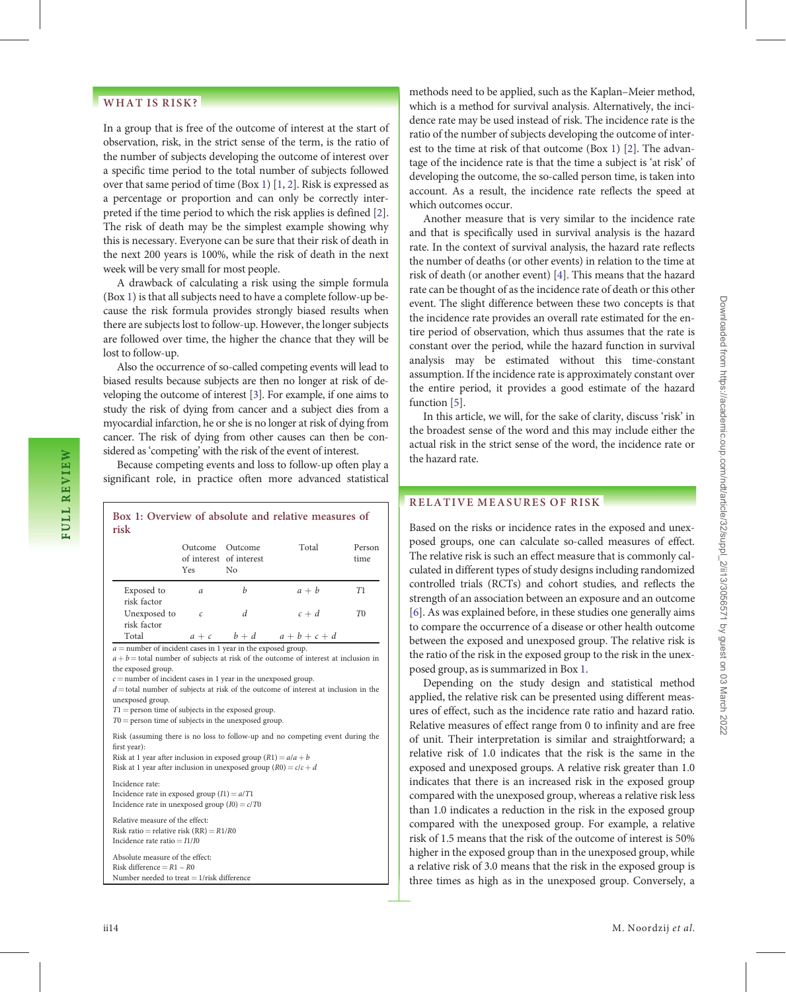#### <span id="page-1-0"></span>WHAT IS RISK?

In a group that is free of the outcome of interest at the start of observation, risk, in the strict sense of the term, is the ratio of the number of subjects developing the outcome of interest over a specific time period to the total number of subjects followed over that same period of time (Box 1) [[1,](#page-4-0) [2\]](#page-4-0). Risk is expressed as a percentage or proportion and can only be correctly interpreted if the time period to which the risk applies is defined [[2](#page-4-0)]. The risk of death may be the simplest example showing why this is necessary. Everyone can be sure that their risk of death in the next 200 years is 100%, while the risk of death in the next week will be very small for most people.

A drawback of calculating a risk using the simple formula (Box 1) is that all subjects need to have a complete follow-up because the risk formula provides strongly biased results when there are subjects lost to follow-up. However, the longer subjects are followed over time, the higher the chance that they will be lost to follow-up.

Also the occurrence of so-called competing events will lead to biased results because subjects are then no longer at risk of developing the outcome of interest [\[3\]](#page-4-0). For example, if one aims to study the risk of dying from cancer and a subject dies from a myocardial infarction, he or she is no longer at risk of dying from cancer. The risk of dying from other causes can then be considered as 'competing' with the risk of the event of interest.

Because competing events and loss to follow-up often play a significant role, in practice often more advanced statistical

| Box 1: Overview of absolute and relative measures of<br>risk                                                                                                                                                                                                                                                                                                                                                                                                                     |                               |                               |           |                |
|----------------------------------------------------------------------------------------------------------------------------------------------------------------------------------------------------------------------------------------------------------------------------------------------------------------------------------------------------------------------------------------------------------------------------------------------------------------------------------|-------------------------------|-------------------------------|-----------|----------------|
|                                                                                                                                                                                                                                                                                                                                                                                                                                                                                  | Outcome Outcome<br><b>Yes</b> | of interest of interest<br>No | Total     | Person<br>time |
| Exposed to<br>risk factor                                                                                                                                                                                                                                                                                                                                                                                                                                                        | a                             | b                             | $a + b$   | T1             |
| Unexposed to<br>risk factor                                                                                                                                                                                                                                                                                                                                                                                                                                                      | C                             | d                             | $c + d$   | T0             |
| Total                                                                                                                                                                                                                                                                                                                                                                                                                                                                            |                               | $a+c$ $b+d$                   | $a+b+c+d$ |                |
| $a$ = number of incident cases in 1 year in the exposed group.<br>$a + b$ = total number of subjects at risk of the outcome of interest at inclusion in<br>the exposed group.<br>$c$ = number of incident cases in 1 year in the unexposed group.<br>$d$ = total number of subjects at risk of the outcome of interest at inclusion in the<br>unexposed group.<br>$T1$ = person time of subjects in the exposed group.<br>$T0$ = person time of subjects in the unexposed group. |                               |                               |           |                |
| Risk (assuming there is no loss to follow-up and no competing event during the<br>first year):<br>Risk at 1 year after inclusion in exposed group $(R1) = a/a + b$<br>Risk at 1 year after inclusion in unexposed group $(R0) = c/c + d$                                                                                                                                                                                                                                         |                               |                               |           |                |
| Incidence rate:<br>Incidence rate in exposed group $(I1) = a/T1$<br>Incidence rate in unexposed group $(I0) = c/T0$                                                                                                                                                                                                                                                                                                                                                              |                               |                               |           |                |
| Relative measure of the effect:<br>Risk ratio = relative risk $(RR) = R1/R0$<br>Incidence rate ratio $=$ $I1/I0$                                                                                                                                                                                                                                                                                                                                                                 |                               |                               |           |                |
| Absolute measure of the effect:<br>Risk difference = $R1 - R0$<br>Number needed to treat $= 1$ /risk difference                                                                                                                                                                                                                                                                                                                                                                  |                               |                               |           |                |
|                                                                                                                                                                                                                                                                                                                                                                                                                                                                                  |                               |                               |           |                |

methods need to be applied, such as the Kaplan–Meier method, which is a method for survival analysis. Alternatively, the incidence rate may be used instead of risk. The incidence rate is the ratio of the number of subjects developing the outcome of interest to the time at risk of that outcome (Box 1) [[2](#page-4-0)]. The advantage of the incidence rate is that the time a subject is 'at risk' of developing the outcome, the so-called person time, is taken into account. As a result, the incidence rate reflects the speed at which outcomes occur.

Another measure that is very similar to the incidence rate and that is specifically used in survival analysis is the hazard rate. In the context of survival analysis, the hazard rate reflects the number of deaths (or other events) in relation to the time at risk of death (or another event) [[4\]](#page-4-0). This means that the hazard rate can be thought of as the incidence rate of death or this other event. The slight difference between these two concepts is that the incidence rate provides an overall rate estimated for the entire period of observation, which thus assumes that the rate is constant over the period, while the hazard function in survival analysis may be estimated without this time-constant assumption. If the incidence rate is approximately constant over the entire period, it provides a good estimate of the hazard function [\[5\]](#page-4-0).

In this article, we will, for the sake of clarity, discuss 'risk' in the broadest sense of the word and this may include either the actual risk in the strict sense of the word, the incidence rate or the hazard rate.

#### RELATIVE MEASURES OF RISK

Based on the risks or incidence rates in the exposed and unexposed groups, one can calculate so-called measures of effect. The relative risk is such an effect measure that is commonly calculated in different types of study designs including randomized controlled trials (RCTs) and cohort studies, and reflects the strength of an association between an exposure and an outcome [\[6\]](#page-4-0). As was explained before, in these studies one generally aims to compare the occurrence of a disease or other health outcome between the exposed and unexposed group. The relative risk is the ratio of the risk in the exposed group to the risk in the unexposed group, as is summarized in Box 1.

Depending on the study design and statistical method applied, the relative risk can be presented using different measures of effect, such as the incidence rate ratio and hazard ratio. Relative measures of effect range from 0 to infinity and are free of unit. Their interpretation is similar and straightforward; a relative risk of 1.0 indicates that the risk is the same in the exposed and unexposed groups. A relative risk greater than 1.0 indicates that there is an increased risk in the exposed group compared with the unexposed group, whereas a relative risk less than 1.0 indicates a reduction in the risk in the exposed group compared with the unexposed group. For example, a relative risk of 1.5 means that the risk of the outcome of interest is 50% higher in the exposed group than in the unexposed group, while a relative risk of 3.0 means that the risk in the exposed group is three times as high as in the unexposed group. Conversely, a

| | | | | | | | | | | | | | | | | | | | | | | | | | | | | | | | | | | | | | | | | | | | | | | | | | | | | | | | | | | | | | | | | | | | | | | | | | | | | | | | | | | | | | | | | | | | | | | | | | | | | | | | | | | | | | | | | | | | | | | | | | | | | | | | | | | | | | | | | | | | | | | | | | | | | | | | | | | | | | | | | | | | | | | | | | | |

| | | |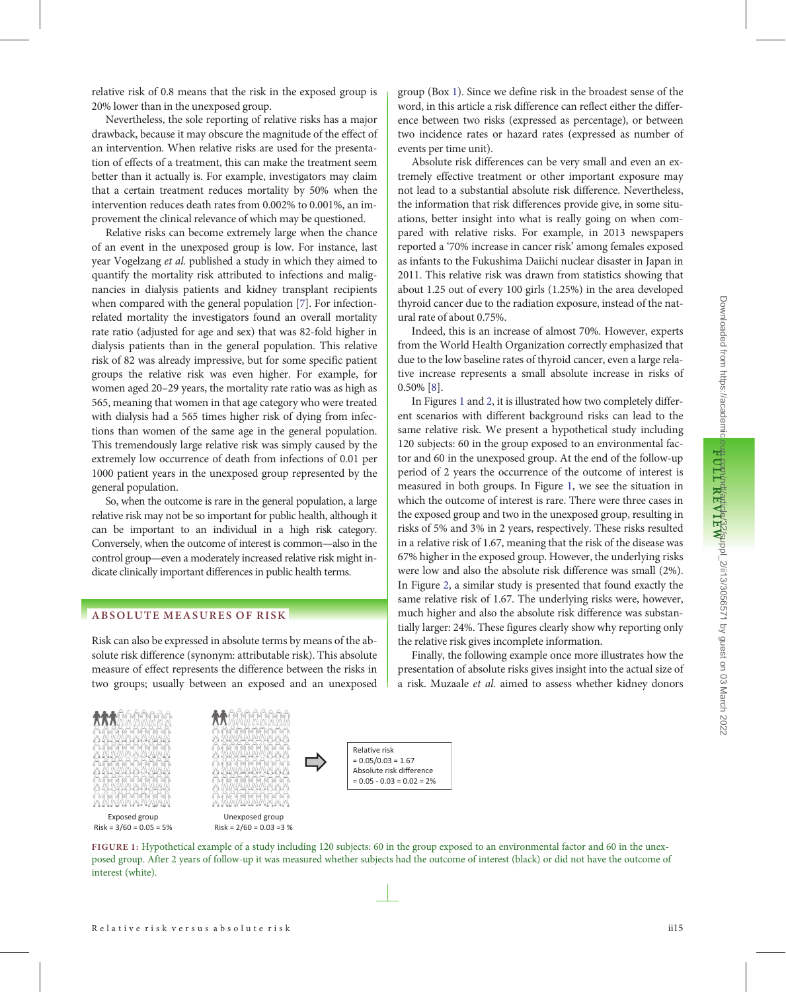relative risk of 0.8 means that the risk in the exposed group is 20% lower than in the unexposed group.

Nevertheless, the sole reporting of relative risks has a major drawback, because it may obscure the magnitude of the effect of an intervention. When relative risks are used for the presentation of effects of a treatment, this can make the treatment seem better than it actually is. For example, investigators may claim that a certain treatment reduces mortality by 50% when the intervention reduces death rates from 0.002% to 0.001%, an improvement the clinical relevance of which may be questioned.

Relative risks can become extremely large when the chance of an event in the unexposed group is low. For instance, last year Vogelzang et al. published a study in which they aimed to quantify the mortality risk attributed to infections and malignancies in dialysis patients and kidney transplant recipients when compared with the general population [[7](#page-4-0)]. For infectionrelated mortality the investigators found an overall mortality rate ratio (adjusted for age and sex) that was 82-fold higher in dialysis patients than in the general population. This relative risk of 82 was already impressive, but for some specific patient groups the relative risk was even higher. For example, for women aged 20–29 years, the mortality rate ratio was as high as 565, meaning that women in that age category who were treated with dialysis had a 565 times higher risk of dying from infections than women of the same age in the general population. This tremendously large relative risk was simply caused by the extremely low occurrence of death from infections of 0.01 per 1000 patient years in the unexposed group represented by the general population.

So, when the outcome is rare in the general population, a large relative risk may not be so important for public health, although it can be important to an individual in a high risk category. Conversely, when the outcome of interest is common—also in the control group—even a moderately increased relative risk might indicate clinically important differences in public health terms.

#### ABSOLUTE MEASURES OF RISK

Risk can also be expressed in absolute terms by means of the absolute risk difference (synonym: attributable risk). This absolute measure of effect represents the difference between the risks in two groups; usually between an exposed and an unexposed





Unexposed group Risk = 2/60 = 0.03 =3 %

group (Box [1](#page-1-0)). Since we define risk in the broadest sense of the word, in this article a risk difference can reflect either the difference between two risks (expressed as percentage), or between two incidence rates or hazard rates (expressed as number of events per time unit).

Absolute risk differences can be very small and even an extremely effective treatment or other important exposure may not lead to a substantial absolute risk difference. Nevertheless, the information that risk differences provide give, in some situations, better insight into what is really going on when compared with relative risks. For example, in 2013 newspapers reported a '70% increase in cancer risk' among females exposed as infants to the Fukushima Daiichi nuclear disaster in Japan in 2011. This relative risk was drawn from statistics showing that about 1.25 out of every 100 girls (1.25%) in the area developed thyroid cancer due to the radiation exposure, instead of the natural rate of about 0.75%.

Indeed, this is an increase of almost 70%. However, experts from the World Health Organization correctly emphasized that due to the low baseline rates of thyroid cancer, even a large relative increase represents a small absolute increase in risks of 0.50% [[8](#page-4-0)].

In Figures 1 and [2](#page-3-0), it is illustrated how two completely different scenarios with different background risks can lead to the same relative risk. We present a hypothetical study including 120 subjects: 60 in the group exposed to an environmental factor and 60 in the unexposed group. At the end of the follow-up period of 2 years the occurrence of the outcome of interest is measured in both groups. In Figure 1, we see the situation in which the outcome of interest is rare. There were three cases in the exposed group and two in the unexposed group, resulting in risks of 5% and 3% in 2 years, respectively. These risks resulted in a relative risk of 1.67, meaning that the risk of the disease was 67% higher in the exposed group. However, the underlying risks were low and also the absolute risk difference was small (2%). In Figure [2,](#page-3-0) a similar study is presented that found exactly the same relative risk of 1.67. The underlying risks were, however, much higher and also the absolute risk difference was substantially larger: 24%. These figures clearly show why reporting only the relative risk gives incomplete information.

Finally, the following example once more illustrates how the presentation of absolute risks gives insight into the actual size of a risk. Muzaale et al. aimed to assess whether kidney donors

Relative risk  $= 0.05/0.03 = 1.67$ Absolute risk difference  $= 0.05 - 0.03 = 0.02 = 2%$ 

| | | | | | | | | | | | | | | | | | | | | | | | | | | | | | | | | | | | | | | | | | | | | | | | | | | | | | | | | | | | | | | | | | | | | | | | | | | | | | | | | | | | | | | | | | | | | | | | | | | | | | | | | | | | | | | | | | | | | | | | | | | | | |

FIGURE 1: Hypothetical example of a study including 120 subjects: 60 in the group exposed to an environmental factor and 60 in the unexposed group. After 2 years of follow-up it was measured whether subjects had the outcome of interest (black) or did not have the outcome of interest (white).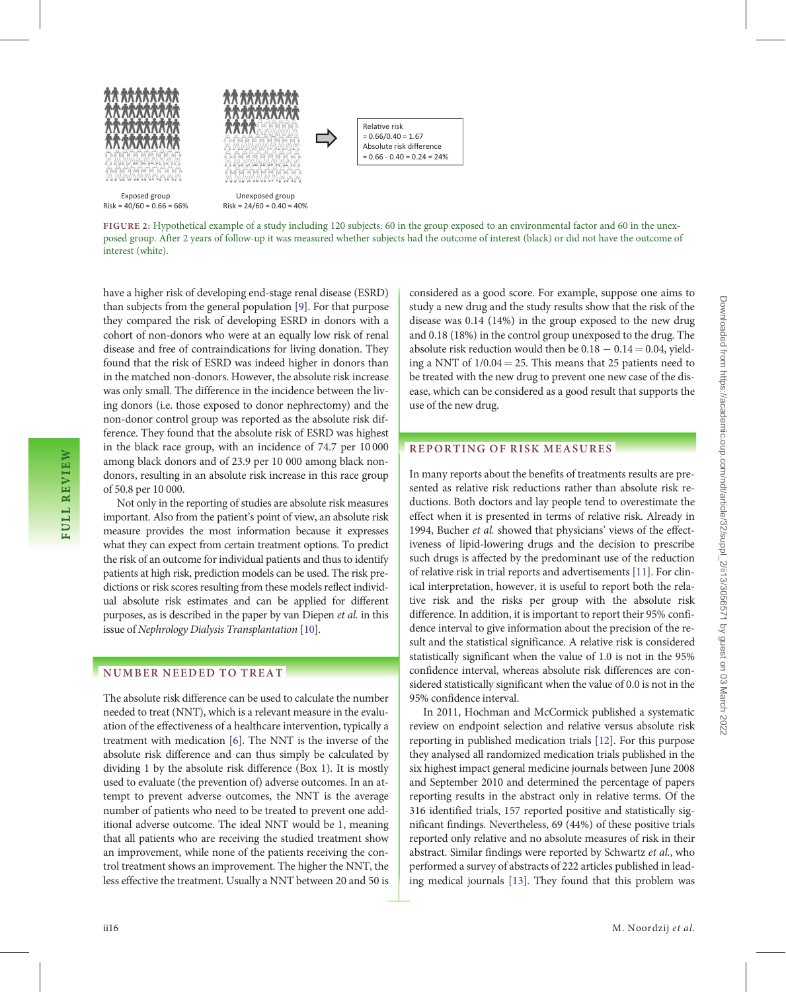<span id="page-3-0"></span>



Exposed group  $Risk = 40/60 = 0.66 = 66%$ 

Unexposed group  $Risk = 24/60 = 0.40 = 40%$ 

Relative risk  $= 0.66/0.40 = 1.67$ Absolute risk difference  $= 0.66 - 0.40 = 0.24 = 24\%$ 

FIGURE 2: Hypothetical example of a study including 120 subjects: 60 in the group exposed to an environmental factor and 60 in the unexposed group. After 2 years of follow-up it was measured whether subjects had the outcome of interest (black) or did not have the outcome of interest (white).

> | | | | | | | | | | | | | | | | | | | | | | | | | | | | | | | | | | | | | | | | | | | | | | | | | | | | | | | | | | | | | | | | | | | | | | | | | | | | | | | | | | | | | | | | | | | | | | | | | | | | | | | | | | | | | | | | | | | | | | | | | | | | | |

have a higher risk of developing end-stage renal disease (ESRD) than subjects from the general population [[9](#page-4-0)]. For that purpose they compared the risk of developing ESRD in donors with a cohort of non-donors who were at an equally low risk of renal disease and free of contraindications for living donation. They found that the risk of ESRD was indeed higher in donors than in the matched non-donors. However, the absolute risk increase was only small. The difference in the incidence between the living donors (i.e. those exposed to donor nephrectomy) and the non-donor control group was reported as the absolute risk difference. They found that the absolute risk of ESRD was highest in the black race group, with an incidence of 74.7 per 10 000 among black donors and of 23.9 per 10 000 among black nondonors, resulting in an absolute risk increase in this race group of 50.8 per 10 000.

Not only in the reporting of studies are absolute risk measures important. Also from the patient's point of view, an absolute risk measure provides the most information because it expresses what they can expect from certain treatment options. To predict the risk of an outcome for individual patients and thus to identify patients at high risk, prediction models can be used. The risk predictions or risk scores resulting from these models reflect individual absolute risk estimates and can be applied for different purposes, as is described in the paper by van Diepen et al. in this issue of Nephrology Dialysis Transplantation [\[10](#page-4-0)].

#### NUMBER NEEDED TO TREAT

The absolute risk difference can be used to calculate the number needed to treat (NNT), which is a relevant measure in the evaluation of the effectiveness of a healthcare intervention, typically a treatment with medication [[6](#page-4-0)]. The NNT is the inverse of the absolute risk difference and can thus simply be calculated by dividing 1 by the absolute risk difference (Box [1\)](#page-1-0). It is mostly used to evaluate (the prevention of) adverse outcomes. In an attempt to prevent adverse outcomes, the NNT is the average number of patients who need to be treated to prevent one additional adverse outcome. The ideal NNT would be 1, meaning that all patients who are receiving the studied treatment show an improvement, while none of the patients receiving the control treatment shows an improvement. The higher the NNT, the less effective the treatment. Usually a NNT between 20 and 50 is considered as a good score. For example, suppose one aims to study a new drug and the study results show that the risk of the disease was 0.14 (14%) in the group exposed to the new drug and 0.18 (18%) in the control group unexposed to the drug. The absolute risk reduction would then be  $0.18 - 0.14$   $=$   $0.04$ , yielding a NNT of  $1/0.04 = 25$ . This means that 25 patients need to be treated with the new drug to prevent one new case of the disease, which can be considered as a good result that supports the use of the new drug.

#### REPORTING OF RISK MEASURES

In many reports about the benefits of treatments results are presented as relative risk reductions rather than absolute risk reductions. Both doctors and lay people tend to overestimate the effect when it is presented in terms of relative risk. Already in 1994, Bucher et al. showed that physicians' views of the effectiveness of lipid-lowering drugs and the decision to prescribe such drugs is affected by the predominant use of the reduction of relative risk in trial reports and advertisements [\[11\]](#page-4-0). For clinical interpretation, however, it is useful to report both the relative risk and the risks per group with the absolute risk difference. In addition, it is important to report their 95% confidence interval to give information about the precision of the result and the statistical significance. A relative risk is considered statistically significant when the value of 1.0 is not in the 95% confidence interval, whereas absolute risk differences are considered statistically significant when the value of 0.0 is not in the 95% confidence interval.

In 2011, Hochman and McCormick published a systematic review on endpoint selection and relative versus absolute risk reporting in published medication trials [[12](#page-4-0)]. For this purpose they analysed all randomized medication trials published in the six highest impact general medicine journals between June 2008 and September 2010 and determined the percentage of papers reporting results in the abstract only in relative terms. Of the 316 identified trials, 157 reported positive and statistically significant findings. Nevertheless, 69 (44%) of these positive trials reported only relative and no absolute measures of risk in their abstract. Similar findings were reported by Schwartz et al., who performed a survey of abstracts of 222 articles published in leading medical journals [\[13](#page-4-0)]. They found that this problem was

FULL REVIEW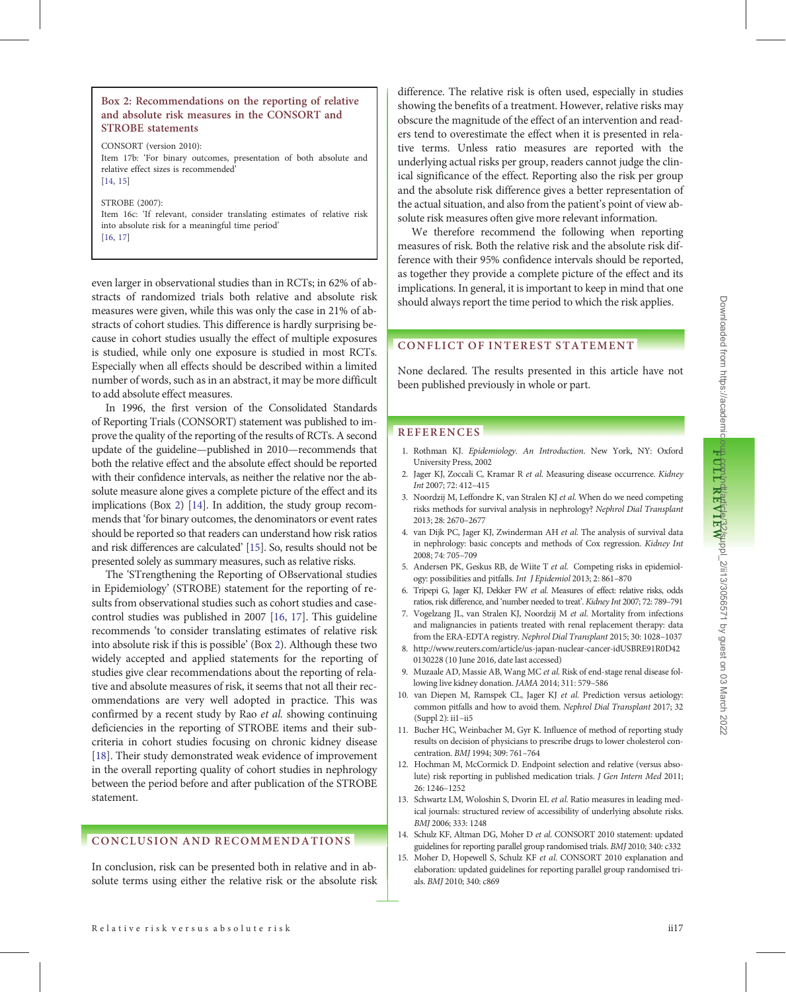#### <span id="page-4-0"></span>Box 2: Recommendations on the reporting of relative and absolute risk measures in the CONSORT and STROBE statements

CONSORT (version 2010): Item 17b: 'For binary outcomes, presentation of both absolute and relative effect sizes is recommended' [14, 15]

STROBE (2007): Item 16c: 'If relevant, consider translating estimates of relative risk into absolute risk for a meaningful time period' [\[16,](#page-5-0) [17\]](#page-5-0)

even larger in observational studies than in RCTs; in 62% of abstracts of randomized trials both relative and absolute risk measures were given, while this was only the case in 21% of abstracts of cohort studies. This difference is hardly surprising because in cohort studies usually the effect of multiple exposures is studied, while only one exposure is studied in most RCTs. Especially when all effects should be described within a limited number of words, such as in an abstract, it may be more difficult to add absolute effect measures.

In 1996, the first version of the Consolidated Standards of Reporting Trials (CONSORT) statement was published to improve the quality of the reporting of the results of RCTs. A second update of the guideline—published in 2010—recommends that both the relative effect and the absolute effect should be reported with their confidence intervals, as neither the relative nor the absolute measure alone gives a complete picture of the effect and its implications (Box 2) [14]. In addition, the study group recommends that 'for binary outcomes, the denominators or event rates should be reported so that readers can understand how risk ratios and risk differences are calculated' [15]. So, results should not be presented solely as summary measures, such as relative risks.

The 'STrengthening the Reporting of OBservational studies in Epidemiology' (STROBE) statement for the reporting of results from observational studies such as cohort studies and casecontrol studies was published in 2007 [\[16](#page-5-0), [17](#page-5-0)]. This guideline recommends 'to consider translating estimates of relative risk into absolute risk if this is possible' (Box 2). Although these two widely accepted and applied statements for the reporting of studies give clear recommendations about the reporting of relative and absolute measures of risk, it seems that not all their recommendations are very well adopted in practice. This was confirmed by a recent study by Rao et al. showing continuing deficiencies in the reporting of STROBE items and their subcriteria in cohort studies focusing on chronic kidney disease [[18\]](#page-5-0). Their study demonstrated weak evidence of improvement in the overall reporting quality of cohort studies in nephrology between the period before and after publication of the STROBE statement.

#### CONCLUSION AND RECOMMENDATIONS

In conclusion, risk can be presented both in relative and in absolute terms using either the relative risk or the absolute risk difference. The relative risk is often used, especially in studies showing the benefits of a treatment. However, relative risks may obscure the magnitude of the effect of an intervention and readers tend to overestimate the effect when it is presented in relative terms. Unless ratio measures are reported with the underlying actual risks per group, readers cannot judge the clinical significance of the effect. Reporting also the risk per group and the absolute risk difference gives a better representation of the actual situation, and also from the patient's point of view absolute risk measures often give more relevant information.

We therefore recommend the following when reporting measures of risk. Both the relative risk and the absolute risk difference with their 95% confidence intervals should be reported, as together they provide a complete picture of the effect and its implications. In general, it is important to keep in mind that one should always report the time period to which the risk applies.

#### CONFLICT OF INTEREST STATEMENT

None declared. The results presented in this article have not been published previously in whole or part.

#### **REFERENCES**

| | | | | | | | | | | | | | | | | | | | | | | | | | | | | | | | | | | | | | | | | | | | | | | | | | | | | | | | | | | | | | | | | | | | | | | | | | | | | | | | | | | | | | | | | | | | | | | | | | | | | | | | | | | | | | | | | | | | | | | | | | | | | | | | | | | | | | | | | | | | | | | | | | | | | | | | | | | | | | | | | | | | | | | | | | |

- 1. Rothman KJ. Epidemiology. An Introduction. New York, NY: Oxford University Press, 2002
- 2. Jager KJ, Zoccali C, Kramar R et al. Measuring disease occurrence. Kidney Int 2007; 72: 412–415
- 3. Noordzij M, Leffondre K, van Stralen KJ et al. When do we need competing risks methods for survival analysis in nephrology? Nephrol Dial Transplant 2013; 28: 2670–2677
- 4. van Dijk PC, Jager KJ, Zwinderman AH et al. The analysis of survival data in nephrology: basic concepts and methods of Cox regression. Kidney Int 2008; 74: 705–709
- 5. Andersen PK, Geskus RB, de Wiite T et al. Competing risks in epidemiology: possibilities and pitfalls. Int J Epidemiol 2013; 2: 861–870
- 6. Tripepi G, Jager KJ, Dekker FW et al. Measures of effect: relative risks, odds ratios, risk difference, and 'number needed to treat'. Kidney Int 2007; 72: 789–791
- 7. Vogelzang JL, van Stralen KJ, Noordzij M et al. Mortality from infections and malignancies in patients treated with renal replacement therapy: data from the ERA-EDTA registry. Nephrol Dial Transplant 2015; 30: 1028–1037
- 8. [http://www.reuters.com/article/us-japan-nuclear-cancer-idUSBRE91R0D42](http://www.reuters.com/article/us-japan-nuclear-cancer-idUSBRE91R0D420130228) [0130228](http://www.reuters.com/article/us-japan-nuclear-cancer-idUSBRE91R0D420130228) (10 June 2016, date last accessed)
- 9. Muzaale AD, Massie AB, Wang MC et al. Risk of end-stage renal disease following live kidney donation. JAMA 2014; 311: 579–586
- 10. van Diepen M, Ramspek CL, Jager KJ et al. Prediction versus aetiology: common pitfalls and how to avoid them. Nephrol Dial Transplant 2017; 32 (Suppl 2): ii1–ii5
- 11. Bucher HC, Weinbacher M, Gyr K. Influence of method of reporting study results on decision of physicians to prescribe drugs to lower cholesterol concentration. BMJ 1994; 309: 761–764
- 12. Hochman M, McCormick D. Endpoint selection and relative (versus absolute) risk reporting in published medication trials. J Gen Intern Med 2011; 26: 1246–1252
- 13. Schwartz LM, Woloshin S, Dvorin EL et al. Ratio measures in leading medical journals: structured review of accessibility of underlying absolute risks. BMJ 2006; 333: 1248
- 14. Schulz KF, Altman DG, Moher D et al. CONSORT 2010 statement: updated guidelines for reporting parallel group randomised trials. BMJ 2010; 340: c332
- 15. Moher D, Hopewell S, Schulz KF et al. CONSORT 2010 explanation and elaboration: updated guidelines for reporting parallel group randomised trials. BMJ 2010; 340: c869